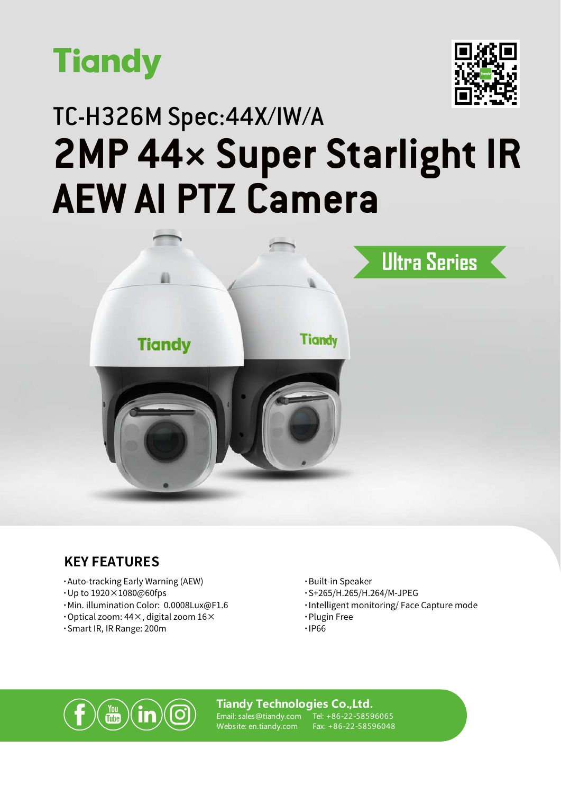



## TC-H326M Spec:44X/IW/A **2MP 44× Super Starlight IR AEW AI PTZ Camera**



#### **KEY FEATURES**

- **·**Auto-tracking Early Warning (AEW)
- **·**Up to 1920×1080@60fps
- **·**Min. illumination Color: 0.0008Lux@F1.6
- **·**Optical zoom: 44×, digital zoom 16×
- **·**Smart IR, IR Range: 200m
- **·**Built-in Speaker
- **·**S+265/H.265/H.264/M-JPEG
- **·**Intelligent monitoring/ Face Capture mode
- **·**Plugin Free
- **·**IP66



#### **Tiandy Technologies Co.,Ltd.**

Email: sales@tiandy.com Website: en.tiandy.com

Tel: +86-22-58596065 Fax: +86-22-58596048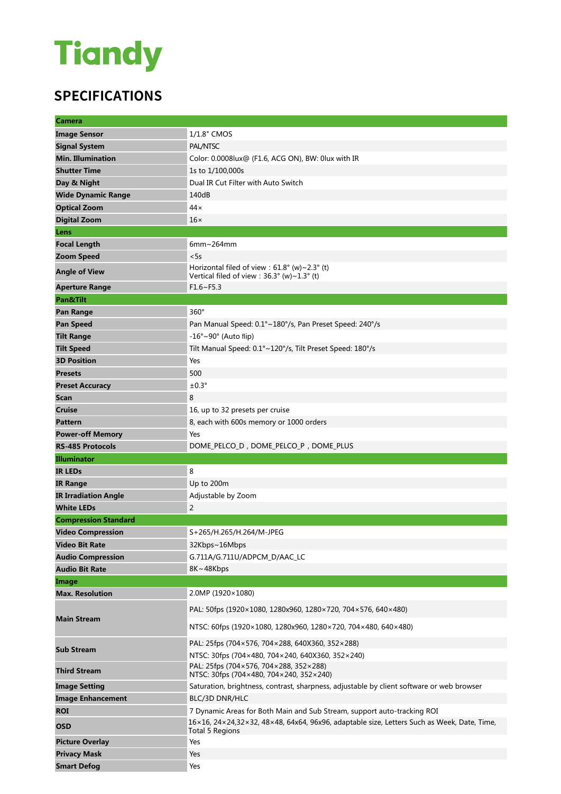# **Tiandy**

### **SPECIFICATIONS**

| <b>Camera</b>               |                                                                                                                             |
|-----------------------------|-----------------------------------------------------------------------------------------------------------------------------|
| <b>Image Sensor</b>         | 1/1.8" CMOS                                                                                                                 |
| <b>Signal System</b>        | PAL/NTSC                                                                                                                    |
| <b>Min. Illumination</b>    | Color: 0.0008lux@ (F1.6, ACG ON), BW: 0lux with IR                                                                          |
| <b>Shutter Time</b>         | 1s to 1/100,000s                                                                                                            |
| Day & Night                 | Dual IR Cut Filter with Auto Switch                                                                                         |
| <b>Wide Dynamic Range</b>   | 140dB                                                                                                                       |
| <b>Optical Zoom</b>         | $44 \times$                                                                                                                 |
| <b>Digital Zoom</b>         | $16\times$                                                                                                                  |
| Lens                        |                                                                                                                             |
| <b>Focal Length</b>         | $6mm \sim 264mm$                                                                                                            |
| <b>Zoom Speed</b>           | < 5s                                                                                                                        |
| <b>Angle of View</b>        | Horizontal filed of view : $61.8^{\circ}$ (w) ~ 2.3° (t)<br>Vertical filed of view : $36.3^{\circ}$ (w) ~ $1.3^{\circ}$ (t) |
| <b>Aperture Range</b>       | $F1.6-F5.3$                                                                                                                 |
| Pan&Tilt                    |                                                                                                                             |
| Pan Range                   | $360^\circ$                                                                                                                 |
| <b>Pan Speed</b>            | Pan Manual Speed: 0.1°~180°/s, Pan Preset Speed: 240°/s                                                                     |
| <b>Tilt Range</b>           | $-16^\circ \sim 90^\circ$ (Auto flip)                                                                                       |
| <b>Tilt Speed</b>           | Tilt Manual Speed: 0.1°~120°/s, Tilt Preset Speed: 180°/s                                                                   |
| <b>3D Position</b>          | Yes                                                                                                                         |
| <b>Presets</b>              | 500                                                                                                                         |
| <b>Preset Accuracy</b>      | $±0.3^\circ$                                                                                                                |
| <b>Scan</b>                 | 8                                                                                                                           |
| <b>Cruise</b>               | 16, up to 32 presets per cruise                                                                                             |
| <b>Pattern</b>              | 8, each with 600s memory or 1000 orders                                                                                     |
| <b>Power-off Memory</b>     | Yes                                                                                                                         |
| <b>RS-485 Protocols</b>     | DOME PELCO D, DOME PELCO P, DOME PLUS                                                                                       |
|                             |                                                                                                                             |
| <b>Illuminator</b>          |                                                                                                                             |
| <b>IR LEDS</b>              | 8                                                                                                                           |
| <b>IR Range</b>             | Up to 200m                                                                                                                  |
| <b>IR Irradiation Angle</b> | Adjustable by Zoom                                                                                                          |
| <b>White LEDs</b>           | $\overline{2}$                                                                                                              |
| <b>Compression Standard</b> |                                                                                                                             |
| <b>Video Compression</b>    | S+265/H.265/H.264/M-JPEG                                                                                                    |
| <b>Video Bit Rate</b>       | 32Kbps~16Mbps                                                                                                               |
| <b>Audio Compression</b>    | G.711A/G.711U/ADPCM_D/AAC_LC                                                                                                |
| <b>Audio Bit Rate</b>       | 8K~48Kbps                                                                                                                   |
| Image                       |                                                                                                                             |
| <b>Max. Resolution</b>      | 2.0MP (1920×1080)                                                                                                           |
|                             | PAL: 50fps (1920×1080, 1280x960, 1280×720, 704×576, 640×480)                                                                |
| <b>Main Stream</b>          | NTSC: 60fps (1920×1080, 1280x960, 1280×720, 704×480, 640×480)                                                               |
|                             | PAL: 25fps (704×576, 704×288, 640X360, 352×288)                                                                             |
| <b>Sub Stream</b>           | NTSC: 30fps (704×480, 704×240, 640X360, 352×240)                                                                            |
| <b>Third Stream</b>         | PAL: 25fps (704×576, 704×288, 352×288)<br>NTSC: 30fps (704×480, 704×240, 352×240)                                           |
| <b>Image Setting</b>        | Saturation, brightness, contrast, sharpness, adjustable by client software or web browser                                   |
| <b>Image Enhancement</b>    | BLC/3D DNR/HLC                                                                                                              |
| <b>ROI</b>                  | 7 Dynamic Areas for Both Main and Sub Stream, support auto-tracking ROI                                                     |
| <b>OSD</b>                  | 16×16, 24×24,32×32, 48×48, 64x64, 96x96, adaptable size, Letters Such as Week, Date, Time,<br><b>Total 5 Regions</b>        |
| <b>Picture Overlay</b>      | Yes                                                                                                                         |
| <b>Privacy Mask</b>         | Yes                                                                                                                         |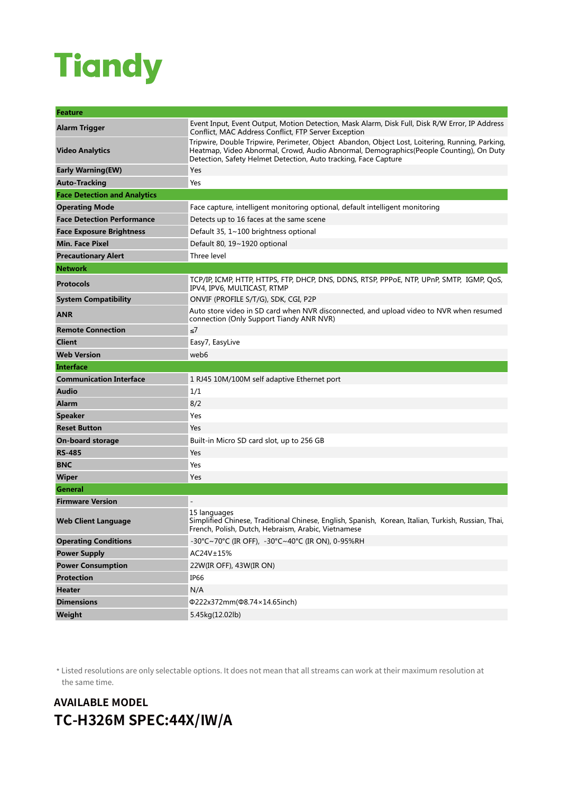## **Tiandy**

| Feature                             |                                                                                                                                                                                                                                                              |
|-------------------------------------|--------------------------------------------------------------------------------------------------------------------------------------------------------------------------------------------------------------------------------------------------------------|
| Alarm Trigger                       | Event Input, Event Output, Motion Detection, Mask Alarm, Disk Full, Disk R/W Error, IP Address<br>Conflict, MAC Address Conflict, FTP Server Exception                                                                                                       |
| <b>Video Analytics</b>              | Tripwire, Double Tripwire, Perimeter, Object Abandon, Object Lost, Loitering, Running, Parking,<br>Heatmap, Video Abnormal, Crowd, Audio Abnormal, Demographics(People Counting), On Duty<br>Detection, Safety Helmet Detection, Auto tracking, Face Capture |
| <b>Early Warning (EW)</b>           | Yes                                                                                                                                                                                                                                                          |
| <b>Auto-Tracking</b>                | Yes                                                                                                                                                                                                                                                          |
| <b>Face Detection and Analytics</b> |                                                                                                                                                                                                                                                              |
| <b>Operating Mode</b>               | Face capture, intelligent monitoring optional, default intelligent monitoring                                                                                                                                                                                |
| <b>Face Detection Performance</b>   | Detects up to 16 faces at the same scene                                                                                                                                                                                                                     |
| <b>Face Exposure Brightness</b>     | Default 35, 1~100 brightness optional                                                                                                                                                                                                                        |
| <b>Min. Face Pixel</b>              | Default 80, 19~1920 optional                                                                                                                                                                                                                                 |
| <b>Precautionary Alert</b>          | Three level                                                                                                                                                                                                                                                  |
| <b>Network</b>                      |                                                                                                                                                                                                                                                              |
| <b>Protocols</b>                    | TCP/IP, ICMP, HTTP, HTTPS, FTP, DHCP, DNS, DDNS, RTSP, PPPOE, NTP, UPnP, SMTP, IGMP, QoS,<br>IPV4, IPV6, MULTICAST, RTMP                                                                                                                                     |
| <b>System Compatibility</b>         | ONVIF (PROFILE S/T/G), SDK, CGI, P2P                                                                                                                                                                                                                         |
| <b>ANR</b>                          | Auto store video in SD card when NVR disconnected, and upload video to NVR when resumed<br>connection (Only Support Tiandy ANR NVR)                                                                                                                          |
| <b>Remote Connection</b>            | ≤7                                                                                                                                                                                                                                                           |
| <b>Client</b>                       | Easy7, EasyLive                                                                                                                                                                                                                                              |
| <b>Web Version</b>                  | web6                                                                                                                                                                                                                                                         |
|                                     |                                                                                                                                                                                                                                                              |
| <b>Interface</b>                    |                                                                                                                                                                                                                                                              |
| <b>Communication Interface</b>      | 1 RJ45 10M/100M self adaptive Ethernet port                                                                                                                                                                                                                  |
| <b>Audio</b>                        | 1/1                                                                                                                                                                                                                                                          |
| <b>Alarm</b>                        | 8/2                                                                                                                                                                                                                                                          |
| <b>Speaker</b>                      | Yes                                                                                                                                                                                                                                                          |
| <b>Reset Button</b>                 | Yes                                                                                                                                                                                                                                                          |
| <b>On-board storage</b>             | Built-in Micro SD card slot, up to 256 GB                                                                                                                                                                                                                    |
| <b>RS-485</b>                       | Yes                                                                                                                                                                                                                                                          |
| <b>BNC</b>                          | Yes                                                                                                                                                                                                                                                          |
| <b>Wiper</b>                        | Yes                                                                                                                                                                                                                                                          |
| General                             |                                                                                                                                                                                                                                                              |
| <b>Firmware Version</b>             |                                                                                                                                                                                                                                                              |
| <b>Web Client Language</b>          | 15 languages<br>Simplified Chinese, Traditional Chinese, English, Spanish, Korean, Italian, Turkish, Russian, Thai,<br>French, Polish, Dutch, Hebraism, Arabic, Vietnamese                                                                                   |
| <b>Operating Conditions</b>         | -30°C~70°C (IR OFF), -30°C~40°C (IR ON), 0-95%RH                                                                                                                                                                                                             |
| <b>Power Supply</b>                 | AC24V±15%                                                                                                                                                                                                                                                    |
| <b>Power Consumption</b>            | 22W(IR OFF), 43W(IR ON)                                                                                                                                                                                                                                      |
| <b>Protection</b>                   | IP66                                                                                                                                                                                                                                                         |
| <b>Heater</b>                       | N/A                                                                                                                                                                                                                                                          |
| <b>Dimensions</b>                   | Φ222x372mm(Φ8.74×14.65inch)                                                                                                                                                                                                                                  |

\* Listed resolutions are only selectable options. It does not mean that all streams can work at their maximum resolution at the same time.

### **AVAILABLE MODEL TC-H326M SPEC:44X/IW/A**